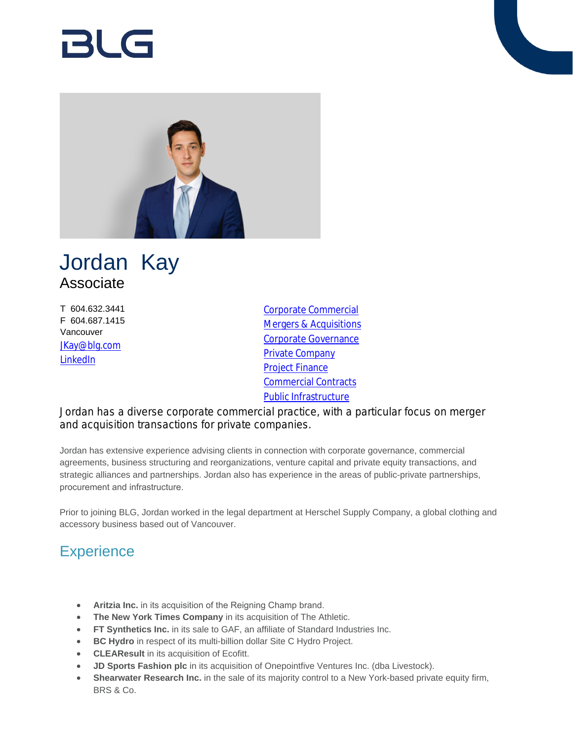# RI G



## Jordan Kay Associate

T 604.632.3441 F 604.687.1415 Vancouver [JKay@blg.com](mailto:JKay@blg.com) [LinkedIn](https://www.linkedin.com/in/jordan-kay-75765476/)

[Corporate Commercial](https://www.blg.com/en/services/practice-areas/corporate-commercial) [Mergers & Acquisitions](https://www.blg.com/en/services/practice-areas/mergers-,-a-,-acquisitions) [Corporate Governance](https://www.blg.com/en/services/practice-areas/corporate-commercial/corporate-governance) **[Private Company](https://www.blg.com/en/services/practice-areas/corporate-commercial/private-company)** [Project Finance](https://www.blg.com/en/services/practice-areas/banking-financial-services/project-finance) [Commercial Contracts](https://www.blg.com/en/services/practice-areas/corporate-commercial/commercial-contracts) [Public Infrastructure](https://www.blg.com/en/services/industries/infrastructure/public-infrastructure)

Jordan has a diverse corporate commercial practice, with a particular focus on merger and acquisition transactions for private companies.

Jordan has extensive experience advising clients in connection with corporate governance, commercial agreements, business structuring and reorganizations, venture capital and private equity transactions, and strategic alliances and partnerships. Jordan also has experience in the areas of public-private partnerships, procurement and infrastructure.

Prior to joining BLG, Jordan worked in the legal department at Herschel Supply Company, a global clothing and accessory business based out of Vancouver.

## **Experience**

- **Aritzia Inc.** in its acquisition of the Reigning Champ brand.
- **The New York Times Company** in its acquisition of The Athletic.
- **FT Synthetics Inc.** in its sale to GAF, an affiliate of Standard Industries Inc.
- **BC Hydro** in respect of its multi-billion dollar Site C Hydro Project.
- **CLEAResult** in its acquisition of Ecofitt.
- **JD Sports Fashion plc** in its acquisition of Onepointfive Ventures Inc. (dba Livestock).
- **Shearwater Research Inc.** in the sale of its majority control to a New York-based private equity firm, BRS & Co.